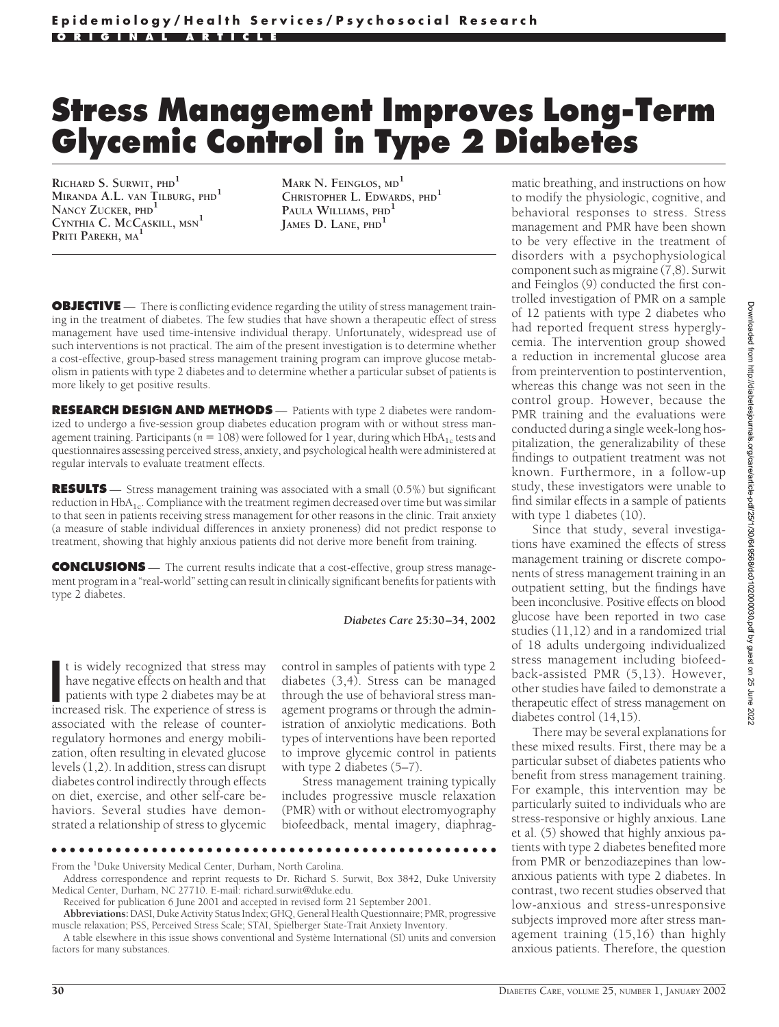# **Stress Management Improves Long-Term Glycemic Control in Type 2 Diabetes**

**RICHARD S. SURWIT, PHD<sup>1</sup> MIRANDA A.L. VAN TILBURG, PHD<sup>1</sup> NANCY ZUCKER, PHD<sup>1</sup> CYNTHIA C. MCCASKILL, MSN<sup>1</sup> PRITI PAREKH, MA<sup>1</sup>**

**MARK N. FEINGLOS, MD<sup>1</sup> CHRISTOPHER L. EDWARDS, PHD<sup>1</sup> PAULA WILLIAMS, PHD<sup>1</sup> JAMES D. LANE, PHD<sup>1</sup>**

**OBJECTIVE** — There is conflicting evidence regarding the utility of stress management training in the treatment of diabetes. The few studies that have shown a therapeutic effect of stress management have used time-intensive individual therapy. Unfortunately, widespread use of such interventions is not practical. The aim of the present investigation is to determine whether a cost-effective, group-based stress management training program can improve glucose metabolism in patients with type 2 diabetes and to determine whether a particular subset of patients is more likely to get positive results.

**RESEARCH DESIGN AND METHODS** — Patients with type 2 diabetes were randomized to undergo a five-session group diabetes education program with or without stress management training. Participants ( $n = 108$ ) were followed for 1 year, during which HbA<sub>1c</sub> tests and questionnaires assessing perceived stress, anxiety, and psychological health were administered at regular intervals to evaluate treatment effects.

**RESULTS** — Stress management training was associated with a small (0.5%) but significant reduction in  $HbA_{1c}$ . Compliance with the treatment regimen decreased over time but was similar to that seen in patients receiving stress management for other reasons in the clinic. Trait anxiety (a measure of stable individual differences in anxiety proneness) did not predict response to treatment, showing that highly anxious patients did not derive more benefit from training.

**CONCLUSIONS** — The current results indicate that a cost-effective, group stress management program in a "real-world" setting can result in clinically significant benefits for patients with type 2 diabetes.

#### *Diabetes Care* **25:30–34, 2002**

It is widely recognized that stress may have negative effects on health and that patients with type 2 diabetes may be at increased risk. The experience of stress is t is widely recognized that stress may have negative effects on health and that patients with type 2 diabetes may be at associated with the release of counterregulatory hormones and energy mobilization, often resulting in elevated glucose levels (1,2). In addition, stress can disrupt diabetes control indirectly through effects on diet, exercise, and other self-care behaviors. Several studies have demonstrated a relationship of stress to glycemic control in samples of patients with type 2 diabetes (3,4). Stress can be managed through the use of behavioral stress management programs or through the administration of anxiolytic medications. Both types of interventions have been reported to improve glycemic control in patients with type 2 diabetes (5–7).

Stress management training typically includes progressive muscle relaxation (PMR) with or without electromyography biofeedback, mental imagery, diaphrag-

From the <sup>1</sup>Duke University Medical Center, Durham, North Carolina.

Address correspondence and reprint requests to Dr. Richard S. Surwit, Box 3842, Duke University Medical Center, Durham, NC 27710. E-mail: richard.surwit@duke.edu.

●●●●●●●●●●●●●●●●●●●●●●●●●●●●●●●●●●●●●●●●●●●●●●●●●

Received for publication 6 June 2001 and accepted in revised form 21 September 2001.

**Abbreviations:**DASI, Duke Activity Status Index; GHQ, General Health Questionnaire; PMR, progressive muscle relaxation; PSS, Perceived Stress Scale; STAI, Spielberger State-Trait Anxiety Inventory.

A table elsewhere in this issue shows conventional and Système International (SI) units and conversion factors for many substances.

matic breathing, and instructions on how to modify the physiologic, cognitive, and behavioral responses to stress. Stress management and PMR have been shown to be very effective in the treatment of disorders with a psychophysiological component such as migraine (7,8). Surwit and Feinglos (9) conducted the first controlled investigation of PMR on a sample of 12 patients with type 2 diabetes who had reported frequent stress hyperglycemia. The intervention group showed a reduction in incremental glucose area from preintervention to postintervention, whereas this change was not seen in the control group. However, because the PMR training and the evaluations were conducted during a single week-long hospitalization, the generalizability of these findings to outpatient treatment was not known. Furthermore, in a follow-up study, these investigators were unable to find similar effects in a sample of patients with type 1 diabetes  $(10)$ .

Since that study, several investigations have examined the effects of stress management training or discrete components of stress management training in an outpatient setting, but the findings have been inconclusive. Positive effects on blood glucose have been reported in two case studies (11,12) and in a randomized trial of 18 adults undergoing individualized stress management including biofeedback-assisted PMR (5,13). However, other studies have failed to demonstrate a therapeutic effect of stress management on diabetes control (14,15).

There may be several explanations for these mixed results. First, there may be a particular subset of diabetes patients who benefit from stress management training. For example, this intervention may be particularly suited to individuals who are stress-responsive or highly anxious. Lane et al. (5) showed that highly anxious patients with type 2 diabetes benefited more from PMR or benzodiazepines than lowanxious patients with type 2 diabetes. In contrast, two recent studies observed that low-anxious and stress-unresponsive subjects improved more after stress management training (15,16) than highly anxious patients. Therefore, the question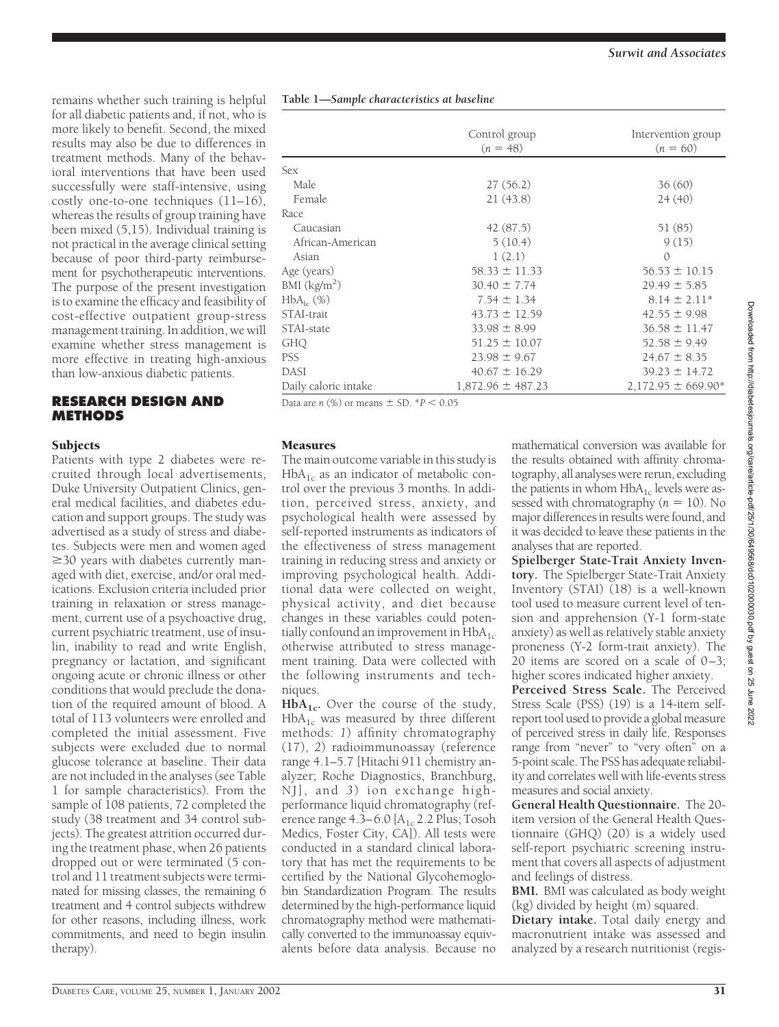remains whether such training is helpful for all diabetic patients and, if not, who is more likely to benefit. Second, the mixed results may also be due to differences in treatment methods. Many of the behavioral interventions that have been used successfully were staff-intensive, using costly one-to-one techniques (11–16), whereas the results of group training have been mixed (5,15). Individual training is not practical in the average clinical setting because of poor third-party reimbursement for psychotherapeutic interventions. The purpose of the present investigation is to examine the efficacy and feasibility of cost-effective outpatient group-stress management training. In addition, we will examine whether stress management is more effective in treating high-anxious than low-anxious diabetic patients.

## **RESEARCH DESIGN AND METHODS**

### **Subjects**

Patients with type 2 diabetes were recruited through local advertisements, Duke University Outpatient Clinics, general medical facilities, and diabetes education and support groups. The study was advertised as a study of stress and diabetes. Subjects were men and women aged  $\geq$ 30 years with diabetes currently managed with diet, exercise, and/or oral medications. Exclusion criteria included prior training in relaxation or stress management, current use of a psychoactive drug, current psychiatric treatment, use of insulin, inability to read and write English, pregnancy or lactation, and significant ongoing acute or chronic illness or other conditions that would preclude the donation of the required amount of blood. A total of 113 volunteers were enrolled and completed the initial assessment. Five subjects were excluded due to normal glucose tolerance at baseline. Their data are not included in the analyses (see Table 1 for sample characteristics). From the sample of 108 patients, 72 completed the study (38 treatment and 34 control subjects). The greatest attrition occurred during the treatment phase, when 26 patients dropped out or were terminated (5 control and 11 treatment subjects were terminated for missing classes, the remaining 6 treatment and 4 control subjects withdrew for other reasons, including illness, work commitments, and need to begin insulin therapy).

**Table 1—***Sample characteristics at baseline*

|                      | Control group<br>$(n = 48)$ | Intervention group<br>$(n = 60)$ |
|----------------------|-----------------------------|----------------------------------|
| Sex                  |                             |                                  |
| Male                 | 27(56.2)                    | 36(60)                           |
| Female               | 21(43.8)                    | 24(40)                           |
| Race                 |                             |                                  |
| Caucasian            | 42(87.5)                    | 51 (85)                          |
| African-American     | 5(10.4)                     | 9(15)                            |
| Asian                | 1(2.1)                      | $\Omega$                         |
| Age (years)          | $58.33 \pm 11.33$           | $56.53 \pm 10.15$                |
| BMI $(kg/m^2)$       | $30.40 \pm 7.74$            | $29.49 \pm 5.85$                 |
| $HbA_{lc}$ (%)       | $7.54 \pm 1.34$             | $8.14 \pm 2.11*$                 |
| STAI-trait           | $43.73 \pm 12.59$           | $42.55 \pm 9.98$                 |
| STAI-state           | $33.98 \pm 8.99$            | $36.58 \pm 11.47$                |
| GHQ                  | $51.25 \pm 10.07$           | $52.58 \pm 9.49$                 |
| PSS                  | $23.98 \pm 9.67$            | $24.67 \pm 8.35$                 |
| DASI                 | $40.67 \pm 16.29$           | $39.23 \pm 14.72$                |
| Daily caloric intake | $1,872.96 \pm 487.23$       | $2,172.95 \pm 669.90^*$          |

Data are  $n$  (%) or means  $\pm$  SD.  $^{*}P$  < 0.05

#### Measures

The main outcome variable in this study is  $HbA_{1c}$  as an indicator of metabolic control over the previous 3 months. In addition, perceived stress, anxiety, and psychological health were assessed by self-reported instruments as indicators of the effectiveness of stress management training in reducing stress and anxiety or improving psychological health. Additional data were collected on weight, physical activity, and diet because changes in these variables could potentially confound an improvement in  $HbA_{1c}$ otherwise attributed to stress management training. Data were collected with the following instruments and techniques.

HbA<sub>1c</sub>. Over the course of the study,  $HbA_{1c}$  was measured by three different methods: *1*) affinity chromatography (17), *2*) radioimmunoassay (reference range 4.1–5.7 [Hitachi 911 chemistry analyzer; Roche Diagnostics, Branchburg, NJ], and *3*) ion exchange highperformance liquid chromatography (reference range  $4.3-6.0$  [ $A<sub>1c</sub>$  2.2 Plus; Tosoh Medics, Foster City, CA]). All tests were conducted in a standard clinical laboratory that has met the requirements to be certified by the National Glycohemoglobin Standardization Program. The results determined by the high-performance liquid chromatography method were mathematically converted to the immunoassay equivalents before data analysis. Because no

mathematical conversion was available for the results obtained with affinity chromatography, all analyses were rerun, excluding the patients in whom  $HbA_{1c}$  levels were assessed with chromatography  $(n = 10)$ . No major differences in results were found, and it was decided to leave these patients in the analyses that are reported.

**Spielberger State-Trait Anxiety Inventory.** The Spielberger State-Trait Anxiety Inventory (STAI) (18) is a well-known tool used to measure current level of tension and apprehension (Y-1 form-state anxiety) as well as relatively stable anxiety proneness (Y-2 form-trait anxiety). The 20 items are scored on a scale of 0–3; higher scores indicated higher anxiety.

**Perceived Stress Scale.** The Perceived Stress Scale (PSS) (19) is a 14-item selfreport tool used to provide a global measure of perceived stress in daily life. Responses range from "never" to "very often" on a 5-point scale. The PSS has adequate reliability and correlates well with life-events stress measures and social anxiety.

**General Health Questionnaire.** The 20 item version of the General Health Questionnaire (GHQ) (20) is a widely used self-report psychiatric screening instrument that covers all aspects of adjustment and feelings of distress.

**BMI.** BMI was calculated as body weight (kg) divided by height (m) squared.

**Dietary intake.** Total daily energy and macronutrient intake was assessed and analyzed by a research nutritionist (regis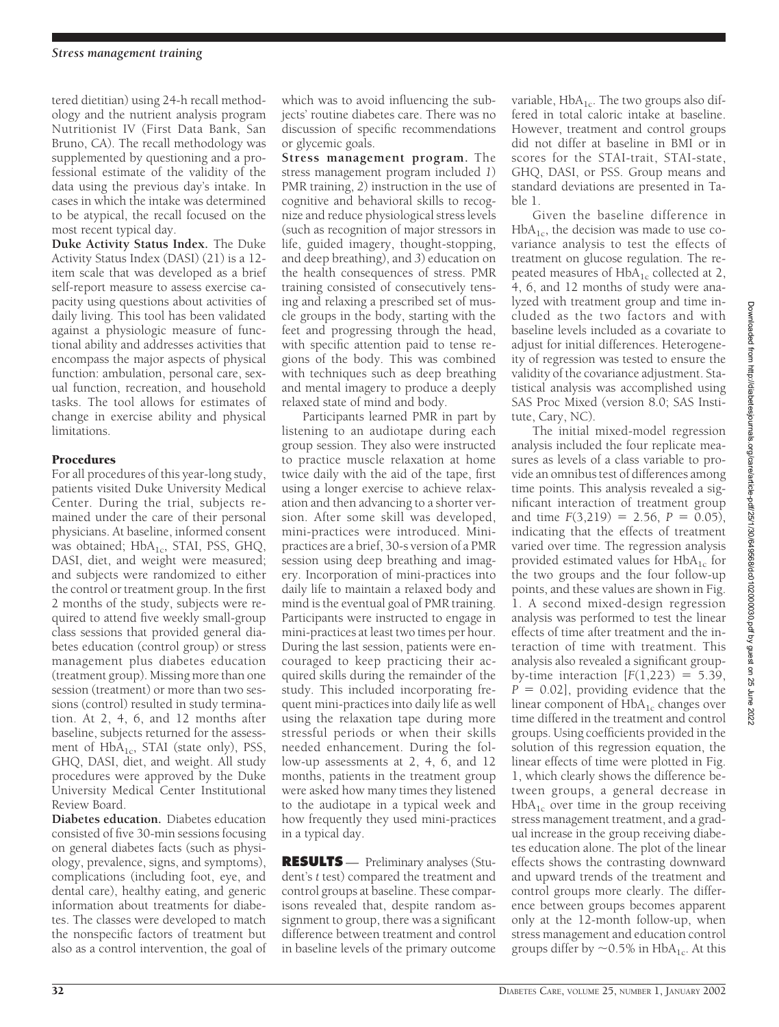tered dietitian) using 24-h recall methodology and the nutrient analysis program Nutritionist IV (First Data Bank, San Bruno, CA). The recall methodology was supplemented by questioning and a professional estimate of the validity of the data using the previous day's intake. In cases in which the intake was determined to be atypical, the recall focused on the most recent typical day.

**Duke Activity Status Index.** The Duke Activity Status Index (DASI) (21) is a 12 item scale that was developed as a brief self-report measure to assess exercise capacity using questions about activities of daily living. This tool has been validated against a physiologic measure of functional ability and addresses activities that encompass the major aspects of physical function: ambulation, personal care, sexual function, recreation, and household tasks. The tool allows for estimates of change in exercise ability and physical limitations.

# Procedures

For all procedures of this year-long study, patients visited Duke University Medical Center. During the trial, subjects remained under the care of their personal physicians. At baseline, informed consent was obtained; HbA<sub>1c</sub>, STAI, PSS, GHQ, DASI, diet, and weight were measured; and subjects were randomized to either the control or treatment group. In the first 2 months of the study, subjects were required to attend five weekly small-group class sessions that provided general diabetes education (control group) or stress management plus diabetes education (treatment group). Missing more than one session (treatment) or more than two sessions (control) resulted in study termination. At 2, 4, 6, and 12 months after baseline, subjects returned for the assessment of  $HbA_{1c}$ , STAI (state only), PSS, GHQ, DASI, diet, and weight. All study procedures were approved by the Duke University Medical Center Institutional Review Board.

**Diabetes education.** Diabetes education consisted of five 30-min sessions focusing on general diabetes facts (such as physiology, prevalence, signs, and symptoms), complications (including foot, eye, and dental care), healthy eating, and generic information about treatments for diabetes. The classes were developed to match the nonspecific factors of treatment but also as a control intervention, the goal of

which was to avoid influencing the subjects' routine diabetes care. There was no discussion of specific recommendations or glycemic goals.

**Stress management program.** The stress management program included *1*) PMR training, *2*) instruction in the use of cognitive and behavioral skills to recognize and reduce physiological stress levels (such as recognition of major stressors in life, guided imagery, thought-stopping, and deep breathing), and *3*) education on the health consequences of stress. PMR training consisted of consecutively tensing and relaxing a prescribed set of muscle groups in the body, starting with the feet and progressing through the head, with specific attention paid to tense regions of the body. This was combined with techniques such as deep breathing and mental imagery to produce a deeply relaxed state of mind and body.

Participants learned PMR in part by listening to an audiotape during each group session. They also were instructed to practice muscle relaxation at home twice daily with the aid of the tape, first using a longer exercise to achieve relaxation and then advancing to a shorter version. After some skill was developed, mini-practices were introduced. Minipractices are a brief, 30-s version of a PMR session using deep breathing and imagery. Incorporation of mini-practices into daily life to maintain a relaxed body and mind is the eventual goal of PMR training. Participants were instructed to engage in mini-practices at least two times per hour. During the last session, patients were encouraged to keep practicing their acquired skills during the remainder of the study. This included incorporating frequent mini-practices into daily life as well using the relaxation tape during more stressful periods or when their skills needed enhancement. During the follow-up assessments at 2, 4, 6, and 12 months, patients in the treatment group were asked how many times they listened to the audiotape in a typical week and how frequently they used mini-practices in a typical day.

**RESULTS** — Preliminary analyses (Student's *t* test) compared the treatment and control groups at baseline. These comparisons revealed that, despite random assignment to group, there was a significant difference between treatment and control in baseline levels of the primary outcome variable,  $HbA_{1c}$ . The two groups also differed in total caloric intake at baseline. However, treatment and control groups did not differ at baseline in BMI or in scores for the STAI-trait, STAI-state, GHQ, DASI, or PSS. Group means and standard deviations are presented in Table 1.

Given the baseline difference in  $HbA_{1c}$ , the decision was made to use covariance analysis to test the effects of treatment on glucose regulation. The repeated measures of  $HbA_{1c}$  collected at 2, 4, 6, and 12 months of study were analyzed with treatment group and time included as the two factors and with baseline levels included as a covariate to adjust for initial differences. Heterogeneity of regression was tested to ensure the validity of the covariance adjustment. Statistical analysis was accomplished using SAS Proc Mixed (version 8.0; SAS Institute, Cary, NC).

The initial mixed-model regression analysis included the four replicate measures as levels of a class variable to provide an omnibus test of differences among time points. This analysis revealed a significant interaction of treatment group and time  $F(3,219) = 2.56$ ,  $P = 0.05$ ), indicating that the effects of treatment varied over time. The regression analysis provided estimated values for  $HbA_{1c}$  for the two groups and the four follow-up points, and these values are shown in Fig. 1. A second mixed-design regression analysis was performed to test the linear effects of time after treatment and the interaction of time with treatment. This analysis also revealed a significant groupby-time interaction  $[F(1,223) = 5.39]$ ,  $P = 0.02$ , providing evidence that the linear component of  $HbA_{1c}$  changes over time differed in the treatment and control groups. Using coefficients provided in the solution of this regression equation, the linear effects of time were plotted in Fig. 1, which clearly shows the difference between groups, a general decrease in  $HbA_{1c}$  over time in the group receiving stress management treatment, and a gradual increase in the group receiving diabetes education alone. The plot of the linear effects shows the contrasting downward and upward trends of the treatment and control groups more clearly. The difference between groups becomes apparent only at the 12-month follow-up, when stress management and education control groups differ by  $\sim$  0.5% in HbA<sub>1c</sub>. At this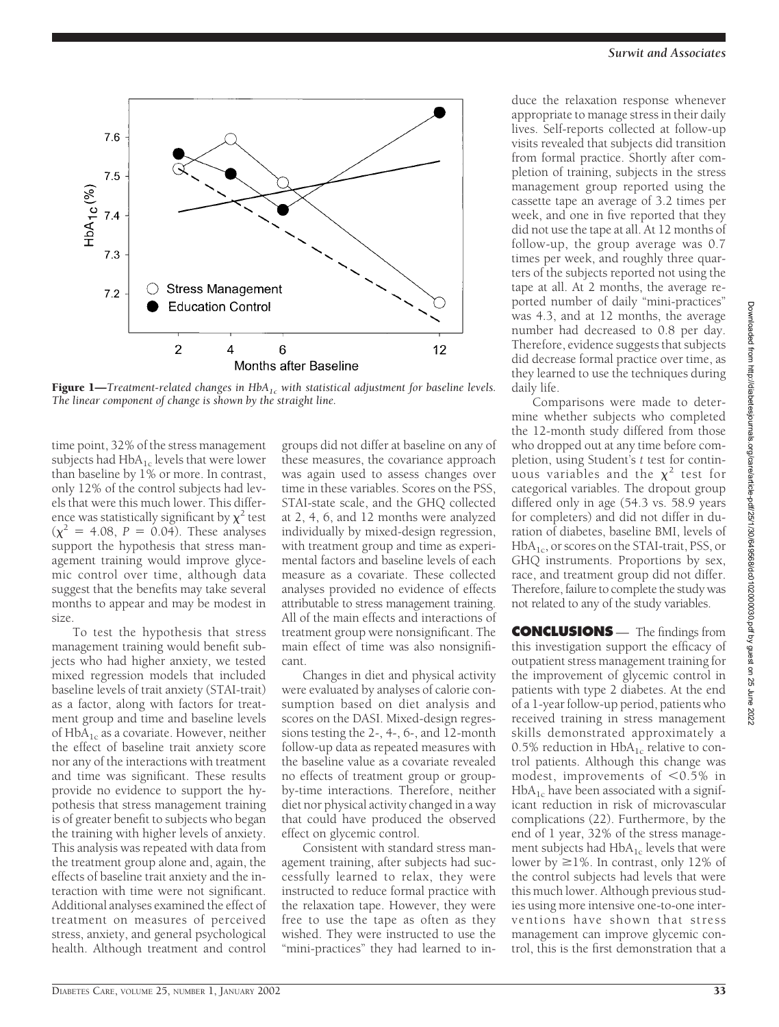

Figure 1—*Treatment-related changes in HbA<sub>1c</sub> with statistical adjustment for baseline levels. The linear component of change is shown by the straight line.*

time point, 32% of the stress management subjects had  $HbA_{1c}$  levels that were lower than baseline by 1% or more. In contrast, only 12% of the control subjects had levels that were this much lower. This difference was statistically significant by  $\chi^2$  test  $(\chi^2 = 4.08, P = 0.04)$ . These analyses support the hypothesis that stress management training would improve glycemic control over time, although data suggest that the benefits may take several months to appear and may be modest in size.

To test the hypothesis that stress management training would benefit subjects who had higher anxiety, we tested mixed regression models that included baseline levels of trait anxiety (STAI-trait) as a factor, along with factors for treatment group and time and baseline levels of  $HbA_{1c}$  as a covariate. However, neither the effect of baseline trait anxiety score nor any of the interactions with treatment and time was significant. These results provide no evidence to support the hypothesis that stress management training is of greater benefit to subjects who began the training with higher levels of anxiety. This analysis was repeated with data from the treatment group alone and, again, the effects of baseline trait anxiety and the interaction with time were not significant. Additional analyses examined the effect of treatment on measures of perceived stress, anxiety, and general psychological health. Although treatment and control

groups did not differ at baseline on any of these measures, the covariance approach was again used to assess changes over time in these variables. Scores on the PSS, STAI-state scale, and the GHQ collected at 2, 4, 6, and 12 months were analyzed individually by mixed-design regression, with treatment group and time as experimental factors and baseline levels of each measure as a covariate. These collected analyses provided no evidence of effects attributable to stress management training. All of the main effects and interactions of treatment group were nonsignificant. The main effect of time was also nonsignificant.

Changes in diet and physical activity were evaluated by analyses of calorie consumption based on diet analysis and scores on the DASI. Mixed-design regressions testing the 2-, 4-, 6-, and 12-month follow-up data as repeated measures with the baseline value as a covariate revealed no effects of treatment group or groupby-time interactions. Therefore, neither diet nor physical activity changed in a way that could have produced the observed effect on glycemic control.

Consistent with standard stress management training, after subjects had successfully learned to relax, they were instructed to reduce formal practice with the relaxation tape. However, they were free to use the tape as often as they wished. They were instructed to use the "mini-practices" they had learned to induce the relaxation response whenever appropriate to manage stress in their daily lives. Self-reports collected at follow-up visits revealed that subjects did transition from formal practice. Shortly after completion of training, subjects in the stress management group reported using the cassette tape an average of 3.2 times per week, and one in five reported that they did not use the tape at all. At 12 months of follow-up, the group average was 0.7 times per week, and roughly three quarters of the subjects reported not using the tape at all. At 2 months, the average reported number of daily "mini-practices" was 4.3, and at 12 months, the average number had decreased to 0.8 per day. Therefore, evidence suggests that subjects did decrease formal practice over time, as they learned to use the techniques during daily life.

Comparisons were made to determine whether subjects who completed the 12-month study differed from those who dropped out at any time before completion, using Student's *t* test for continuous variables and the  $\chi^2$  test for categorical variables. The dropout group differed only in age (54.3 vs. 58.9 years for completers) and did not differ in duration of diabetes, baseline BMI, levels of HbA<sub>1c</sub>, or scores on the STAI-trait, PSS, or GHQ instruments. Proportions by sex, race, and treatment group did not differ. Therefore, failure to complete the study was not related to any of the study variables.

**CONCLUSIONS** — The findings from this investigation support the efficacy of outpatient stress management training for the improvement of glycemic control in patients with type 2 diabetes. At the end of a 1-year follow-up period, patients who received training in stress management skills demonstrated approximately a 0.5% reduction in  $HbA_{1c}$  relative to control patients. Although this change was modest, improvements of  $\leq 0.5\%$  in  $HbA_{1c}$  have been associated with a significant reduction in risk of microvascular complications (22). Furthermore, by the end of 1 year, 32% of the stress management subjects had  $HbA_{1c}$  levels that were lower by  $\geq$ 1%. In contrast, only 12% of the control subjects had levels that were this much lower. Although previous studies using more intensive one-to-one interventions have shown that stress management can improve glycemic control, this is the first demonstration that a Downloaded from http://diabetesjournals.org/care/article-pdf/25/1/30/649568/dc0102000030.pdf by guest on 25 June 2022

Downloaded from http://diabetesjournals.org/care/article-pdf/26/1/30/649568/dc01020030.pdf by guest on 25 June 2022